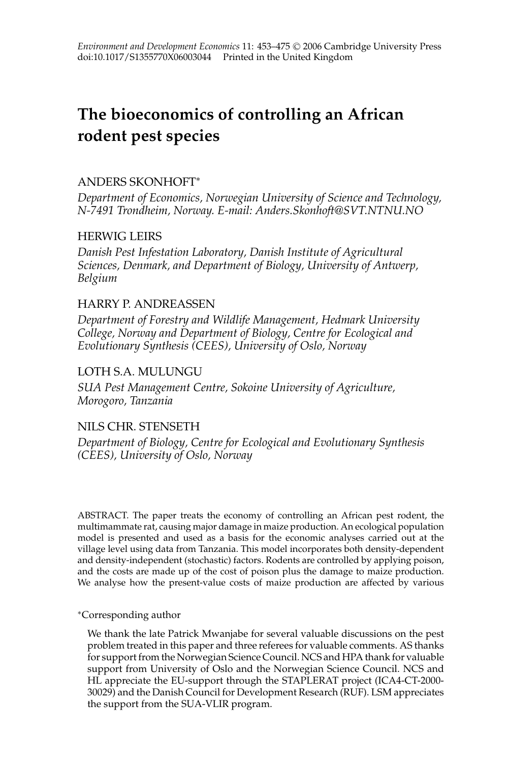# **The bioeconomics of controlling an African rodent pest species**

# ANDERS SKONHOFT<sup>∗</sup>

*Department of Economics, Norwegian University of Science and Technology, N-7491 Trondheim, Norway. E-mail: Anders.Skonhoft@SVT.NTNU.NO*

# HERWIG LEIRS

*Danish Pest Infestation Laboratory, Danish Institute of Agricultural Sciences, Denmark, and Department of Biology, University of Antwerp, Belgium*

# HARRY P. ANDREASSEN

*Department of Forestry and Wildlife Management, Hedmark University College, Norway and Department of Biology, Centre for Ecological and Evolutionary Synthesis (CEES), University of Oslo, Norway*

# LOTH S.A. MULUNGU

*SUA Pest Management Centre, Sokoine University of Agriculture, Morogoro, Tanzania*

## NILS CHR. STENSETH

*Department of Biology, Centre for Ecological and Evolutionary Synthesis (CEES), University of Oslo, Norway*

ABSTRACT. The paper treats the economy of controlling an African pest rodent, the multimammate rat, causing major damage in maize production. An ecological population model is presented and used as a basis for the economic analyses carried out at the village level using data from Tanzania. This model incorporates both density-dependent and density-independent (stochastic) factors. Rodents are controlled by applying poison, and the costs are made up of the cost of poison plus the damage to maize production. We analyse how the present-value costs of maize production are affected by various

## <sup>∗</sup>Corresponding author

We thank the late Patrick Mwanjabe for several valuable discussions on the pest problem treated in this paper and three referees for valuable comments. AS thanks for support from the Norwegian Science Council. NCS and HPA thank for valuable support from University of Oslo and the Norwegian Science Council. NCS and HL appreciate the EU-support through the STAPLERAT project (ICA4-CT-2000- 30029) and the Danish Council for Development Research (RUF). LSM appreciates the support from the SUA-VLIR program.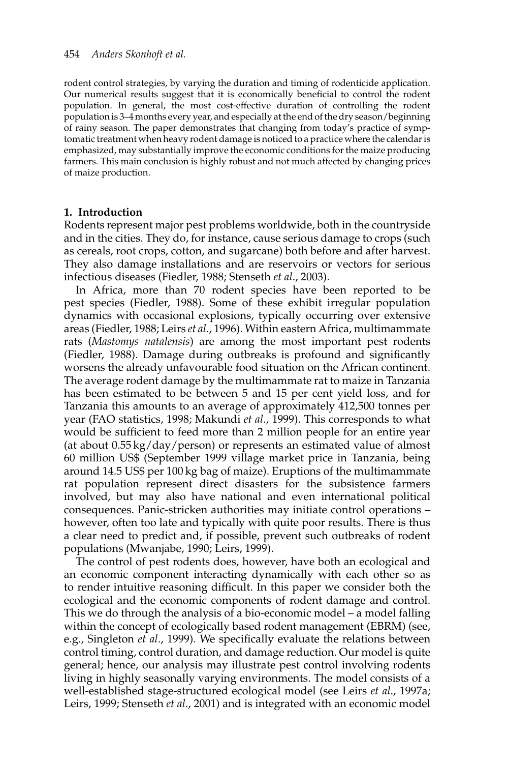rodent control strategies, by varying the duration and timing of rodenticide application. Our numerical results suggest that it is economically beneficial to control the rodent population. In general, the most cost-effective duration of controlling the rodent population is 3–4 months every year, and especially at the end of the dry season/beginning of rainy season. The paper demonstrates that changing from today's practice of symptomatic treatment when heavy rodent damage is noticed to a practice where the calendar is emphasized, may substantially improve the economic conditions for the maize producing farmers. This main conclusion is highly robust and not much affected by changing prices of maize production.

## **1. Introduction**

Rodents represent major pest problems worldwide, both in the countryside and in the cities. They do, for instance, cause serious damage to crops (such as cereals, root crops, cotton, and sugarcane) both before and after harvest. They also damage installations and are reservoirs or vectors for serious infectious diseases (Fiedler, 1988; Stenseth *et al*., 2003).

In Africa, more than 70 rodent species have been reported to be pest species (Fiedler, 1988). Some of these exhibit irregular population dynamics with occasional explosions, typically occurring over extensive areas (Fiedler, 1988; Leirs *et al*., 1996). Within eastern Africa, multimammate rats (*Mastomys natalensis*) are among the most important pest rodents (Fiedler, 1988). Damage during outbreaks is profound and significantly worsens the already unfavourable food situation on the African continent. The average rodent damage by the multimammate rat to maize in Tanzania has been estimated to be between 5 and 15 per cent yield loss, and for Tanzania this amounts to an average of approximately 412,500 tonnes per year (FAO statistics, 1998; Makundi *et al*., 1999). This corresponds to what would be sufficient to feed more than 2 million people for an entire year (at about 0.55 kg/day/person) or represents an estimated value of almost 60 million US\$ (September 1999 village market price in Tanzania, being around 14.5 US\$ per 100 kg bag of maize). Eruptions of the multimammate rat population represent direct disasters for the subsistence farmers involved, but may also have national and even international political consequences. Panic-stricken authorities may initiate control operations – however, often too late and typically with quite poor results. There is thus a clear need to predict and, if possible, prevent such outbreaks of rodent populations (Mwanjabe, 1990; Leirs, 1999).

The control of pest rodents does, however, have both an ecological and an economic component interacting dynamically with each other so as to render intuitive reasoning difficult. In this paper we consider both the ecological and the economic components of rodent damage and control. This we do through the analysis of a bio-economic model – a model falling within the concept of ecologically based rodent management (EBRM) (see, e.g., Singleton *et al*., 1999). We specifically evaluate the relations between control timing, control duration, and damage reduction. Our model is quite general; hence, our analysis may illustrate pest control involving rodents living in highly seasonally varying environments. The model consists of a well-established stage-structured ecological model (see Leirs *et al*., 1997a; Leirs, 1999; Stenseth *et al*., 2001) and is integrated with an economic model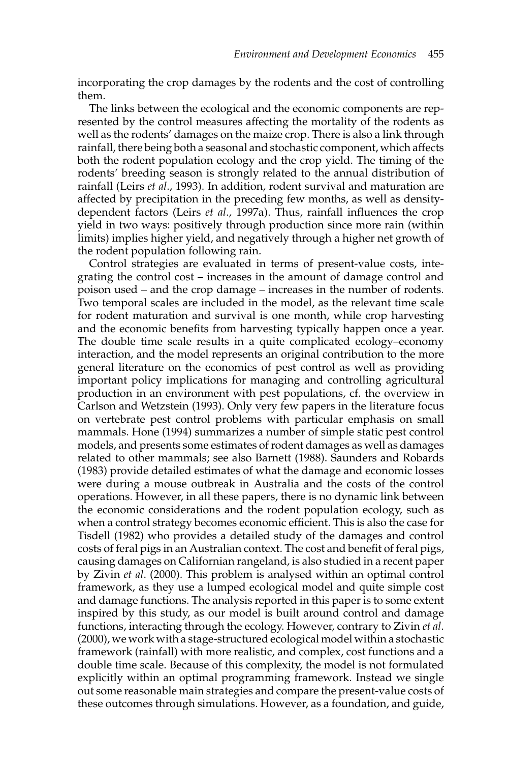incorporating the crop damages by the rodents and the cost of controlling them.

The links between the ecological and the economic components are represented by the control measures affecting the mortality of the rodents as well as the rodents' damages on the maize crop. There is also a link through rainfall, there being both a seasonal and stochastic component, which affects both the rodent population ecology and the crop yield. The timing of the rodents' breeding season is strongly related to the annual distribution of rainfall (Leirs *et al*., 1993). In addition, rodent survival and maturation are affected by precipitation in the preceding few months, as well as densitydependent factors (Leirs *et al*., 1997a). Thus, rainfall influences the crop yield in two ways: positively through production since more rain (within limits) implies higher yield, and negatively through a higher net growth of the rodent population following rain.

Control strategies are evaluated in terms of present-value costs, integrating the control cost – increases in the amount of damage control and poison used – and the crop damage – increases in the number of rodents. Two temporal scales are included in the model, as the relevant time scale for rodent maturation and survival is one month, while crop harvesting and the economic benefits from harvesting typically happen once a year. The double time scale results in a quite complicated ecology–economy interaction, and the model represents an original contribution to the more general literature on the economics of pest control as well as providing important policy implications for managing and controlling agricultural production in an environment with pest populations, cf. the overview in Carlson and Wetzstein (1993). Only very few papers in the literature focus on vertebrate pest control problems with particular emphasis on small mammals. Hone (1994) summarizes a number of simple static pest control models, and presents some estimates of rodent damages as well as damages related to other mammals; see also Barnett (1988). Saunders and Robards (1983) provide detailed estimates of what the damage and economic losses were during a mouse outbreak in Australia and the costs of the control operations. However, in all these papers, there is no dynamic link between the economic considerations and the rodent population ecology, such as when a control strategy becomes economic efficient. This is also the case for Tisdell (1982) who provides a detailed study of the damages and control costs of feral pigs in an Australian context. The cost and benefit of feral pigs, causing damages on Californian rangeland, is also studied in a recent paper by Zivin *et al*. (2000). This problem is analysed within an optimal control framework, as they use a lumped ecological model and quite simple cost and damage functions. The analysis reported in this paper is to some extent inspired by this study, as our model is built around control and damage functions, interacting through the ecology. However, contrary to Zivin *et al*. (2000), we work with a stage-structured ecological model within a stochastic framework (rainfall) with more realistic, and complex, cost functions and a double time scale. Because of this complexity, the model is not formulated explicitly within an optimal programming framework. Instead we single out some reasonable main strategies and compare the present-value costs of these outcomes through simulations. However, as a foundation, and guide,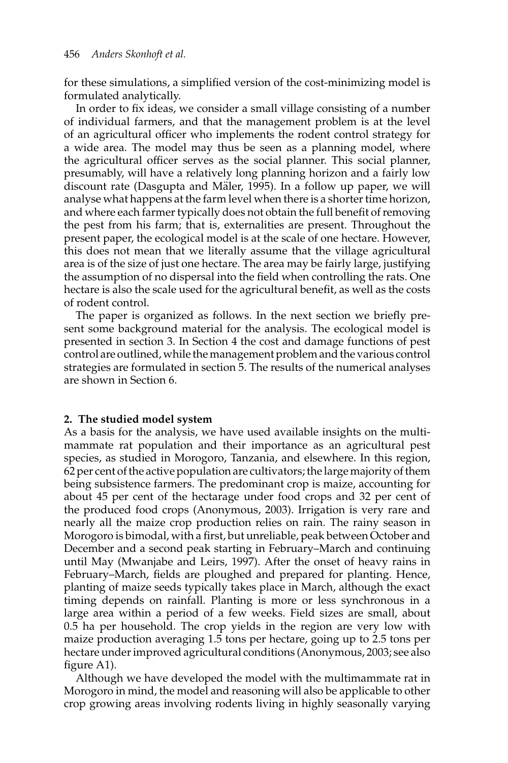for these simulations, a simplified version of the cost-minimizing model is formulated analytically.

In order to fix ideas, we consider a small village consisting of a number of individual farmers, and that the management problem is at the level of an agricultural officer who implements the rodent control strategy for a wide area. The model may thus be seen as a planning model, where the agricultural officer serves as the social planner. This social planner, presumably, will have a relatively long planning horizon and a fairly low discount rate (Dasgupta and Mäler, 1995). In a follow up paper, we will analyse what happens at the farm level when there is a shorter time horizon, and where each farmer typically does not obtain the full benefit of removing the pest from his farm; that is, externalities are present. Throughout the present paper, the ecological model is at the scale of one hectare. However, this does not mean that we literally assume that the village agricultural area is of the size of just one hectare. The area may be fairly large, justifying the assumption of no dispersal into the field when controlling the rats. One hectare is also the scale used for the agricultural benefit, as well as the costs of rodent control.

The paper is organized as follows. In the next section we briefly present some background material for the analysis. The ecological model is presented in section 3. In Section 4 the cost and damage functions of pest control are outlined, while the management problem and the various control strategies are formulated in section 5. The results of the numerical analyses are shown in Section 6.

## **2. The studied model system**

As a basis for the analysis, we have used available insights on the multimammate rat population and their importance as an agricultural pest species, as studied in Morogoro, Tanzania, and elsewhere. In this region, 62 per cent of the active population are cultivators; the large majority of them being subsistence farmers. The predominant crop is maize, accounting for about 45 per cent of the hectarage under food crops and 32 per cent of the produced food crops (Anonymous, 2003). Irrigation is very rare and nearly all the maize crop production relies on rain. The rainy season in Morogoro is bimodal, with a first, but unreliable, peak between October and December and a second peak starting in February–March and continuing until May (Mwanjabe and Leirs, 1997). After the onset of heavy rains in February–March, fields are ploughed and prepared for planting. Hence, planting of maize seeds typically takes place in March, although the exact timing depends on rainfall. Planting is more or less synchronous in a large area within a period of a few weeks. Field sizes are small, about 0.5 ha per household. The crop yields in the region are very low with maize production averaging 1.5 tons per hectare, going up to 2.5 tons per hectare under improved agricultural conditions (Anonymous, 2003; see also figure A1).

Although we have developed the model with the multimammate rat in Morogoro in mind, the model and reasoning will also be applicable to other crop growing areas involving rodents living in highly seasonally varying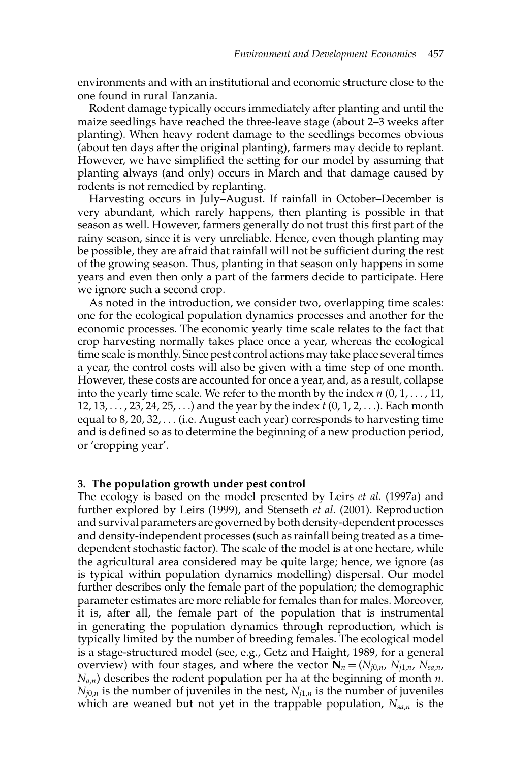environments and with an institutional and economic structure close to the one found in rural Tanzania.

Rodent damage typically occurs immediately after planting and until the maize seedlings have reached the three-leave stage (about 2–3 weeks after planting). When heavy rodent damage to the seedlings becomes obvious (about ten days after the original planting), farmers may decide to replant. However, we have simplified the setting for our model by assuming that planting always (and only) occurs in March and that damage caused by rodents is not remedied by replanting.

Harvesting occurs in July–August. If rainfall in October–December is very abundant, which rarely happens, then planting is possible in that season as well. However, farmers generally do not trust this first part of the rainy season, since it is very unreliable. Hence, even though planting may be possible, they are afraid that rainfall will not be sufficient during the rest of the growing season. Thus, planting in that season only happens in some years and even then only a part of the farmers decide to participate. Here we ignore such a second crop.

As noted in the introduction, we consider two, overlapping time scales: one for the ecological population dynamics processes and another for the economic processes. The economic yearly time scale relates to the fact that crop harvesting normally takes place once a year, whereas the ecological time scale is monthly. Since pest control actions may take place several times a year, the control costs will also be given with a time step of one month. However, these costs are accounted for once a year, and, as a result, collapse into the yearly time scale. We refer to the month by the index *n* (0, 1, ... , 11, 12, 13, ... , 23, 24, 25, ...) and the year by the index *t* (0, 1, 2, ...). Each month equal to 8, 20, 32, ... (i.e. August each year) corresponds to harvesting time and is defined so as to determine the beginning of a new production period, or 'cropping year'.

#### **3. The population growth under pest control**

The ecology is based on the model presented by Leirs *et al*. (1997a) and further explored by Leirs (1999), and Stenseth *et al*. (2001). Reproduction and survival parameters are governed by both density-dependent processes and density-independent processes (such as rainfall being treated as a timedependent stochastic factor). The scale of the model is at one hectare, while the agricultural area considered may be quite large; hence, we ignore (as is typical within population dynamics modelling) dispersal. Our model further describes only the female part of the population; the demographic parameter estimates are more reliable for females than for males. Moreover, it is, after all, the female part of the population that is instrumental in generating the population dynamics through reproduction, which is typically limited by the number of breeding females. The ecological model is a stage-structured model (see, e.g., Getz and Haight, 1989, for a general overview) with four stages, and where the vector  $N_n = (N_{i0,n}, N_{i1,n}, N_{s a,n}$  $N_{a,n}$ ) describes the rodent population per ha at the beginning of month *n*.  $N_{j0,n}$  is the number of juveniles in the nest,  $N_{j1,n}$  is the number of juveniles which are weaned but not yet in the trappable population, *Nsa*,*<sup>n</sup>* is the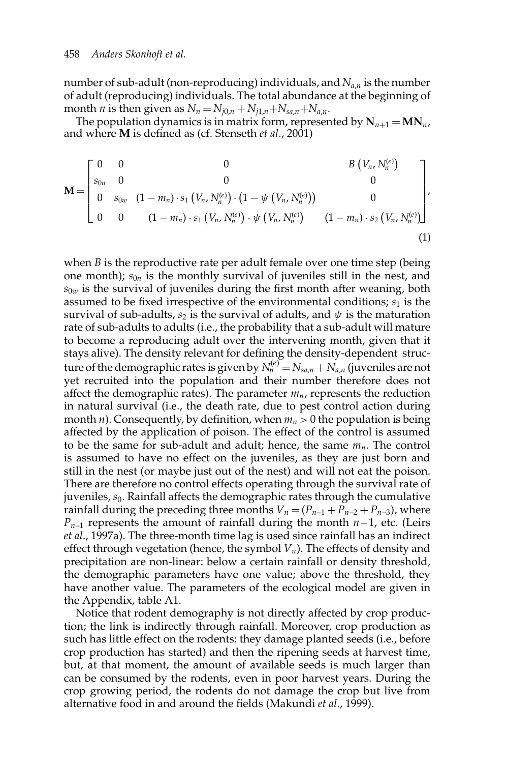number of sub-adult (non-reproducing) individuals, and *Na*,*<sup>n</sup>* is the number of adult (reproducing) individuals. The total abundance at the beginning of month *n* is then given as  $N_n = N_{j0,n} + N_{j1,n} + N_{sa,n} + N_{a,n}$ .

The population dynamics is in matrix form, represented by  $N_{n+1} = MN_n$ , and where **M** is defined as (cf. Stenseth *et al*., 2001)

$$
\mathbf{M} = \begin{bmatrix} 0 & 0 & 0 & B (V_n, N_n^{(e)}) \\ s_{0n} & 0 & 0 & 0 \\ 0 & s_{0w} & (1 - m_n) \cdot s_1 (V_n, N_n^{(e)}) \cdot (1 - \psi (V_n, N_n^{(e)})) & 0 \\ 0 & 0 & (1 - m_n) \cdot s_1 (V_n, N_n^{(e)}) \cdot \psi (V_n, N_n^{(e)}) & (1 - m_n) \cdot s_2 (V_n, N_n^{(e)}) \end{bmatrix},
$$
\n(1)

when *B* is the reproductive rate per adult female over one time step (being one month);  $s_{0n}$  is the monthly survival of juveniles still in the nest, and  $s_{0w}$  is the survival of juveniles during the first month after weaning, both assumed to be fixed irrespective of the environmental conditions;  $s<sub>1</sub>$  is the survival of sub-adults,  $s_2$  is the survival of adults, and  $\psi$  is the maturation rate of sub-adults to adults (i.e., the probability that a sub-adult will mature to become a reproducing adult over the intervening month, given that it stays alive). The density relevant for defining the density-dependent structure of the demographic rates is given by  $N_n^{(e)} = N_{sa,n} + N_{a,n}$  (juveniles are not yet recruited into the population and their number therefore does not affect the demographic rates). The parameter  $m_n$ , represents the reduction in natural survival (i.e., the death rate, due to pest control action during month *n*). Consequently, by definition, when  $m_n > 0$  the population is being affected by the application of poison. The effect of the control is assumed to be the same for sub-adult and adult; hence, the same  $m_n$ . The control is assumed to have no effect on the juveniles, as they are just born and still in the nest (or maybe just out of the nest) and will not eat the poison. There are therefore no control effects operating through the survival rate of juveniles,  $s_0$ . Rainfall affects the demographic rates through the cumulative rainfall during the preceding three months  $V_n = (P_{n-1} + P_{n-2} + P_{n-3})$ , where  $P_{n-1}$  represents the amount of rainfall during the month  $n-1$ , etc. (Leirs *et al*., 1997a). The three-month time lag is used since rainfall has an indirect effect through vegetation (hence, the symbol  $V_n$ ). The effects of density and precipitation are non-linear: below a certain rainfall or density threshold, the demographic parameters have one value; above the threshold, they have another value. The parameters of the ecological model are given in the Appendix, table A1.

Notice that rodent demography is not directly affected by crop production; the link is indirectly through rainfall. Moreover, crop production as such has little effect on the rodents: they damage planted seeds (i.e., before crop production has started) and then the ripening seeds at harvest time, but, at that moment, the amount of available seeds is much larger than can be consumed by the rodents, even in poor harvest years. During the crop growing period, the rodents do not damage the crop but live from alternative food in and around the fields (Makundi *et al*., 1999).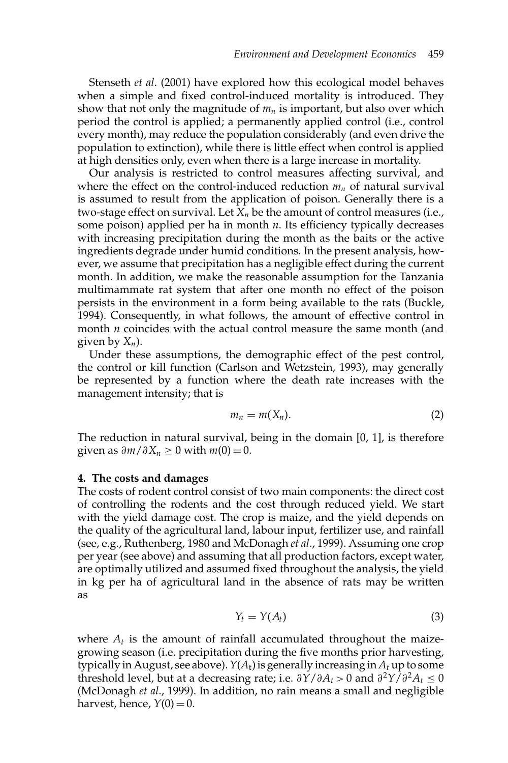Stenseth *et al*. (2001) have explored how this ecological model behaves when a simple and fixed control-induced mortality is introduced. They show that not only the magnitude of  $m<sub>n</sub>$  is important, but also over which period the control is applied; a permanently applied control (i.e., control every month), may reduce the population considerably (and even drive the population to extinction), while there is little effect when control is applied at high densities only, even when there is a large increase in mortality.

Our analysis is restricted to control measures affecting survival, and where the effect on the control-induced reduction  $m_n$  of natural survival is assumed to result from the application of poison. Generally there is a two-stage effect on survival. Let  $X_n$  be the amount of control measures (i.e., some poison) applied per ha in month *n*. Its efficiency typically decreases with increasing precipitation during the month as the baits or the active ingredients degrade under humid conditions. In the present analysis, however, we assume that precipitation has a negligible effect during the current month. In addition, we make the reasonable assumption for the Tanzania multimammate rat system that after one month no effect of the poison persists in the environment in a form being available to the rats (Buckle, 1994). Consequently, in what follows, the amount of effective control in month *n* coincides with the actual control measure the same month (and given by  $X_n$ ).

Under these assumptions, the demographic effect of the pest control, the control or kill function (Carlson and Wetzstein, 1993), may generally be represented by a function where the death rate increases with the management intensity; that is

$$
m_n = m(X_n). \tag{2}
$$

The reduction in natural survival, being in the domain [0, 1], is therefore given as  $\partial m / \partial X_n$  ≥ 0 with  $m(0) = 0$ .

#### **4. The costs and damages**

The costs of rodent control consist of two main components: the direct cost of controlling the rodents and the cost through reduced yield. We start with the yield damage cost. The crop is maize, and the yield depends on the quality of the agricultural land, labour input, fertilizer use, and rainfall (see, e.g., Ruthenberg, 1980 and McDonagh *et al*., 1999). Assuming one crop per year (see above) and assuming that all production factors, except water, are optimally utilized and assumed fixed throughout the analysis, the yield in kg per ha of agricultural land in the absence of rats may be written as

$$
Y_t = Y(A_t) \tag{3}
$$

where  $A_t$  is the amount of rainfall accumulated throughout the maizegrowing season (i.e. precipitation during the five months prior harvesting, typically in August, see above).  $Y(A_t)$  is generally increasing in  $A_t$  up to some threshold level, but at a decreasing rate; i.e.  $\frac{\partial Y}{\partial A_t} > 0$  and  $\frac{\partial^2 Y}{\partial^2 A_t} \leq 0$ (McDonagh *et al*., 1999). In addition, no rain means a small and negligible harvest, hence,  $Y(0) = 0$ .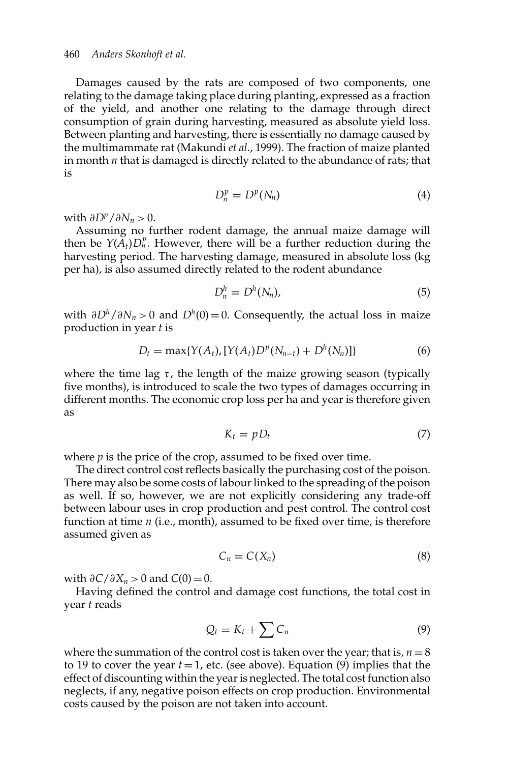Damages caused by the rats are composed of two components, one relating to the damage taking place during planting, expressed as a fraction of the yield, and another one relating to the damage through direct consumption of grain during harvesting, measured as absolute yield loss. Between planting and harvesting, there is essentially no damage caused by the multimammate rat (Makundi *et al*., 1999). The fraction of maize planted in month *n* that is damaged is directly related to the abundance of rats; that is

$$
D_n^p = D^p(N_n) \tag{4}
$$

*with*  $\partial D^p / \partial N_n > 0$ *.* 

Assuming no further rodent damage, the annual maize damage will then be  $Y(A_t)D_n^p$ . However, there will be a further reduction during the harvesting period. The harvesting damage, measured in absolute loss (kg per ha), is also assumed directly related to the rodent abundance

$$
D_n^h = D^h(N_n), \tag{5}
$$

with  $\partial D^h / \partial N_n > 0$  and  $D^h(0) = 0$ . Consequently, the actual loss in maize production in year *t* is

$$
D_t = \max\{Y(A_t), [Y(A_t)D^p(N_{n-t}) + D^h(N_n)]\}
$$
 (6)

where the time lag  $\tau$ , the length of the maize growing season (typically five months), is introduced to scale the two types of damages occurring in different months. The economic crop loss per ha and year is therefore given as

$$
K_t = p D_t \tag{7}
$$

where  $p$  is the price of the crop, assumed to be fixed over time.

The direct control cost reflects basically the purchasing cost of the poison. There may also be some costs of labour linked to the spreading of the poison as well. If so, however, we are not explicitly considering any trade-off between labour uses in crop production and pest control. The control cost function at time *n* (i.e., month), assumed to be fixed over time, is therefore assumed given as

$$
C_n = C(X_n) \tag{8}
$$

with  $\partial C / \partial X_n > 0$  and  $C(0) = 0$ .

Having defined the control and damage cost functions, the total cost in year *t* reads

$$
Q_t = K_t + \sum C_n \tag{9}
$$

where the summation of the control cost is taken over the year; that is,  $n = 8$ to 19 to cover the year  $t = 1$ , etc. (see above). Equation (9) implies that the effect of discounting within the year is neglected. The total cost function also neglects, if any, negative poison effects on crop production. Environmental costs caused by the poison are not taken into account.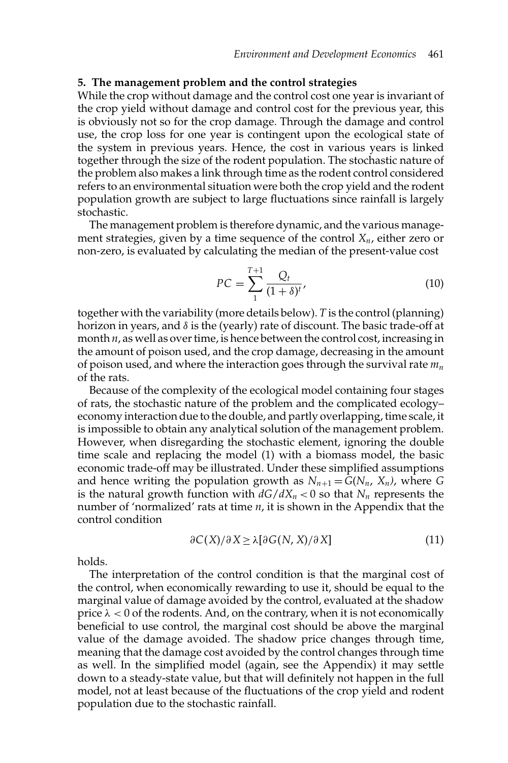#### **5. The management problem and the control strategies**

While the crop without damage and the control cost one year is invariant of the crop yield without damage and control cost for the previous year, this is obviously not so for the crop damage. Through the damage and control use, the crop loss for one year is contingent upon the ecological state of the system in previous years. Hence, the cost in various years is linked together through the size of the rodent population. The stochastic nature of the problem also makes a link through time as the rodent control considered refers to an environmental situation were both the crop yield and the rodent population growth are subject to large fluctuations since rainfall is largely stochastic.

The management problem is therefore dynamic, and the various management strategies, given by a time sequence of the control  $X_n$ , either zero or non-zero, is evaluated by calculating the median of the present-value cost

$$
PC = \sum_{1}^{T+1} \frac{Q_t}{(1+\delta)^t},
$$
\n(10)

together with the variability (more details below). *T* is the control (planning) horizon in years, and  $\delta$  is the (yearly) rate of discount. The basic trade-off at month *n*, as well as over time, is hence between the control cost, increasing in the amount of poison used, and the crop damage, decreasing in the amount of poison used, and where the interaction goes through the survival rate *mn* of the rats.

Because of the complexity of the ecological model containing four stages of rats, the stochastic nature of the problem and the complicated ecology– economy interaction due to the double, and partly overlapping, time scale, it is impossible to obtain any analytical solution of the management problem. However, when disregarding the stochastic element, ignoring the double time scale and replacing the model (1) with a biomass model, the basic economic trade-off may be illustrated. Under these simplified assumptions and hence writing the population growth as  $N_{n+1} = G(N_n, X_n)$ , where G is the natural growth function with  $dG/dX_n < 0$  so that  $N_n$  represents the number of 'normalized' rats at time *n*, it is shown in the Appendix that the control condition

$$
\partial C(X)/\partial X \ge \lambda [\partial G(N, X)/\partial X] \tag{11}
$$

holds.

The interpretation of the control condition is that the marginal cost of the control, when economically rewarding to use it, should be equal to the marginal value of damage avoided by the control, evaluated at the shadow price  $\lambda < 0$  of the rodents. And, on the contrary, when it is not economically beneficial to use control, the marginal cost should be above the marginal value of the damage avoided. The shadow price changes through time, meaning that the damage cost avoided by the control changes through time as well. In the simplified model (again, see the Appendix) it may settle down to a steady-state value, but that will definitely not happen in the full model, not at least because of the fluctuations of the crop yield and rodent population due to the stochastic rainfall.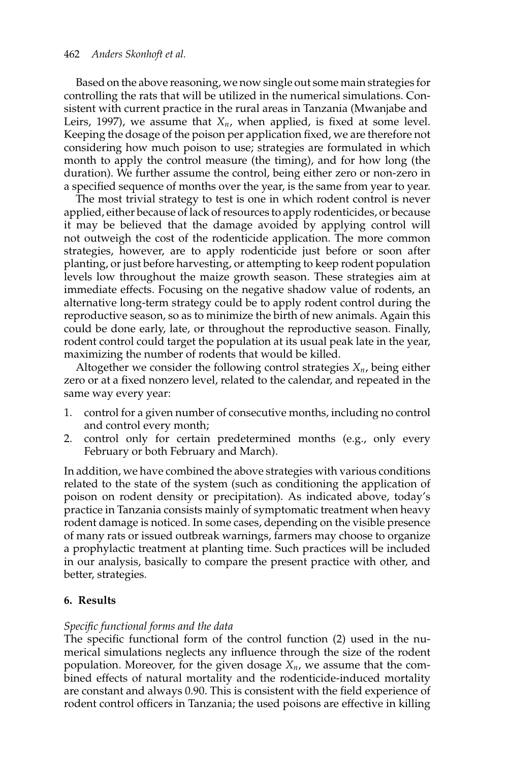Based on the above reasoning, we now single out some main strategies for controlling the rats that will be utilized in the numerical simulations. Consistent with current practice in the rural areas in Tanzania (Mwanjabe and Leirs, 1997), we assume that  $X_n$ , when applied, is fixed at some level. Keeping the dosage of the poison per application fixed, we are therefore not considering how much poison to use; strategies are formulated in which month to apply the control measure (the timing), and for how long (the duration). We further assume the control, being either zero or non-zero in a specified sequence of months over the year, is the same from year to year.

The most trivial strategy to test is one in which rodent control is never applied, either because of lack of resources to apply rodenticides, or because it may be believed that the damage avoided by applying control will not outweigh the cost of the rodenticide application. The more common strategies, however, are to apply rodenticide just before or soon after planting, or just before harvesting, or attempting to keep rodent population levels low throughout the maize growth season. These strategies aim at immediate effects. Focusing on the negative shadow value of rodents, an alternative long-term strategy could be to apply rodent control during the reproductive season, so as to minimize the birth of new animals. Again this could be done early, late, or throughout the reproductive season. Finally, rodent control could target the population at its usual peak late in the year, maximizing the number of rodents that would be killed.

Altogether we consider the following control strategies  $X_n$ , being either zero or at a fixed nonzero level, related to the calendar, and repeated in the same way every year:

- 1. control for a given number of consecutive months, including no control and control every month;
- 2. control only for certain predetermined months (e.g., only every February or both February and March).

In addition, we have combined the above strategies with various conditions related to the state of the system (such as conditioning the application of poison on rodent density or precipitation). As indicated above, today's practice in Tanzania consists mainly of symptomatic treatment when heavy rodent damage is noticed. In some cases, depending on the visible presence of many rats or issued outbreak warnings, farmers may choose to organize a prophylactic treatment at planting time. Such practices will be included in our analysis, basically to compare the present practice with other, and better, strategies.

## **6. Results**

## *Specific functional forms and the data*

The specific functional form of the control function (2) used in the numerical simulations neglects any influence through the size of the rodent population. Moreover, for the given dosage  $X_n$ , we assume that the combined effects of natural mortality and the rodenticide-induced mortality are constant and always 0.90. This is consistent with the field experience of rodent control officers in Tanzania; the used poisons are effective in killing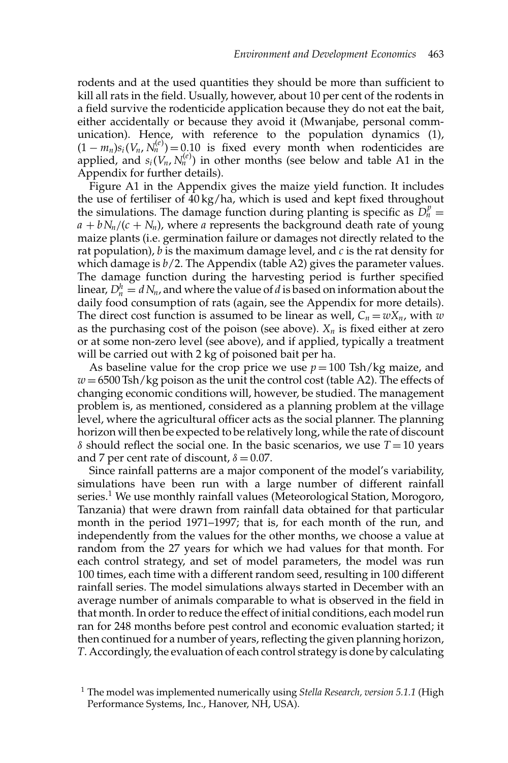rodents and at the used quantities they should be more than sufficient to kill all rats in the field. Usually, however, about 10 per cent of the rodents in a field survive the rodenticide application because they do not eat the bait, either accidentally or because they avoid it (Mwanjabe, personal communication). Hence, with reference to the population dynamics (1),  $(1 - m_n)s_i(V_n, N_n^{(e)}) = 0.10$  is fixed every month when rodenticides are applied, and  $s_i(V_n, N_n^{(e)})$  in other months (see below and table A1 in the Appendix for further details).

Figure A1 in the Appendix gives the maize yield function. It includes the use of fertiliser of 40 kg/ha, which is used and kept fixed throughout the simulations. The damage function during planting is specific as  $D_n^p =$  $a + bN_n/(c + N_n)$ , where *a* represents the background death rate of young maize plants (i.e. germination failure or damages not directly related to the rat population), *b* is the maximum damage level, and *c* is the rat density for which damage is *b*/2. The Appendix (table A2) gives the parameter values. The damage function during the harvesting period is further specified linear,  $D_n^h = d N_n$ , and where the value of *d* is based on information about the daily food consumption of rats (again, see the Appendix for more details). The direct cost function is assumed to be linear as well,  $C_n = wX_n$ , with *w* as the purchasing cost of the poison (see above).  $X_n$  is fixed either at zero or at some non-zero level (see above), and if applied, typically a treatment will be carried out with 2 kg of poisoned bait per ha.

As baseline value for the crop price we use  $p = 100$  Tsh/kg maize, and  $w = 6500$  Tsh/kg poison as the unit the control cost (table A2). The effects of changing economic conditions will, however, be studied. The management problem is, as mentioned, considered as a planning problem at the village level, where the agricultural officer acts as the social planner. The planning horizon will then be expected to be relatively long, while the rate of discount δ should reflect the social one. In the basic scenarios, we use  $T = 10$  years and 7 per cent rate of discount,  $\delta = 0.07$ .

Since rainfall patterns are a major component of the model's variability, simulations have been run with a large number of different rainfall series.<sup>1</sup> We use monthly rainfall values (Meteorological Station, Morogoro, Tanzania) that were drawn from rainfall data obtained for that particular month in the period 1971–1997; that is, for each month of the run, and independently from the values for the other months, we choose a value at random from the 27 years for which we had values for that month. For each control strategy, and set of model parameters, the model was run 100 times, each time with a different random seed, resulting in 100 different rainfall series. The model simulations always started in December with an average number of animals comparable to what is observed in the field in that month. In order to reduce the effect of initial conditions, each model run ran for 248 months before pest control and economic evaluation started; it then continued for a number of years, reflecting the given planning horizon, *T*. Accordingly, the evaluation of each control strategy is done by calculating

<sup>1</sup> The model was implemented numerically using *Stella Research, version 5.1.1* (High Performance Systems, Inc., Hanover, NH, USA).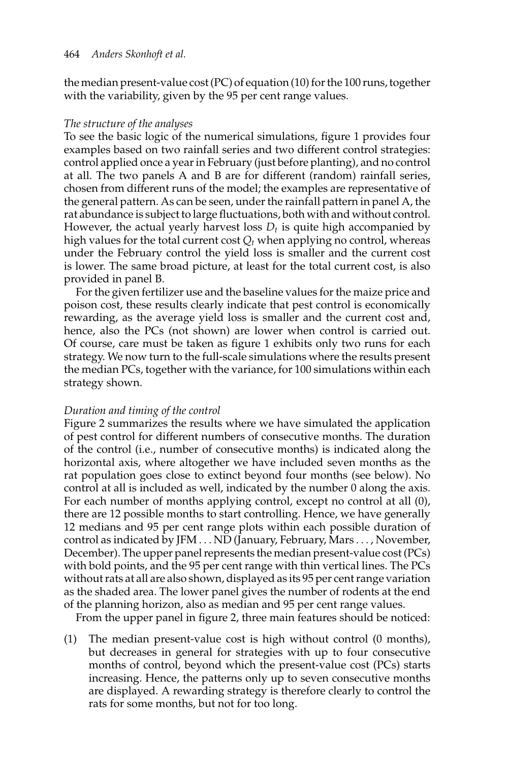the median present-value cost (PC) of equation (10) for the 100 runs, together with the variability, given by the 95 per cent range values.

## *The structure of the analyses*

To see the basic logic of the numerical simulations, figure 1 provides four examples based on two rainfall series and two different control strategies: control applied once a year in February (just before planting), and no control at all. The two panels A and B are for different (random) rainfall series, chosen from different runs of the model; the examples are representative of the general pattern. As can be seen, under the rainfall pattern in panel A, the rat abundance is subject to large fluctuations, both with and without control. However, the actual yearly harvest loss  $D_t$  is quite high accompanied by high values for the total current cost  $Q_t$  when applying no control, whereas under the February control the yield loss is smaller and the current cost is lower. The same broad picture, at least for the total current cost, is also provided in panel B.

For the given fertilizer use and the baseline values for the maize price and poison cost, these results clearly indicate that pest control is economically rewarding, as the average yield loss is smaller and the current cost and, hence, also the PCs (not shown) are lower when control is carried out. Of course, care must be taken as figure 1 exhibits only two runs for each strategy. We now turn to the full-scale simulations where the results present the median PCs, together with the variance, for 100 simulations within each strategy shown.

## *Duration and timing of the control*

Figure 2 summarizes the results where we have simulated the application of pest control for different numbers of consecutive months. The duration of the control (i.e., number of consecutive months) is indicated along the horizontal axis, where altogether we have included seven months as the rat population goes close to extinct beyond four months (see below). No control at all is included as well, indicated by the number 0 along the axis. For each number of months applying control, except no control at all (0), there are 12 possible months to start controlling. Hence, we have generally 12 medians and 95 per cent range plots within each possible duration of control as indicated by JFM ... ND (January, February, Mars ... , November, December). The upper panel represents the median present-value cost (PCs) with bold points, and the 95 per cent range with thin vertical lines. The PCs without rats at all are also shown, displayed as its 95 per cent range variation as the shaded area. The lower panel gives the number of rodents at the end of the planning horizon, also as median and 95 per cent range values.

From the upper panel in figure 2, three main features should be noticed:

(1) The median present-value cost is high without control (0 months), but decreases in general for strategies with up to four consecutive months of control, beyond which the present-value cost (PCs) starts increasing. Hence, the patterns only up to seven consecutive months are displayed. A rewarding strategy is therefore clearly to control the rats for some months, but not for too long.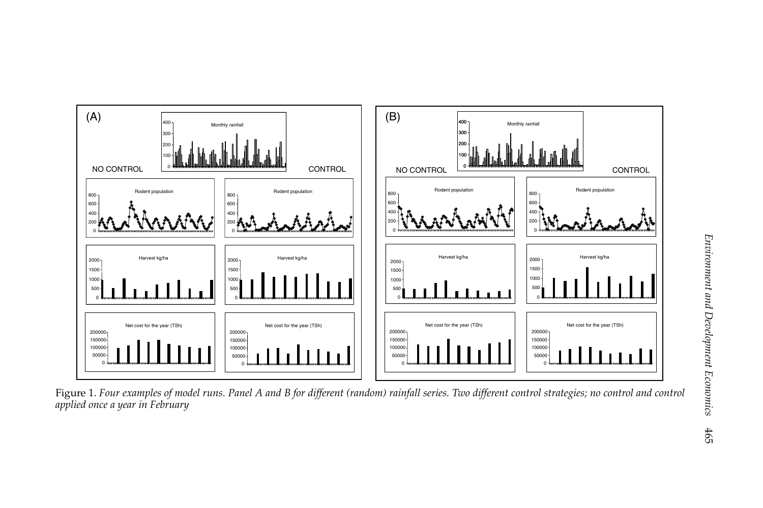

Figure 1. Four examples of model runs. Panel A and B for different (random) rainfall series. Two different control strategies; no control and control *applied once <sup>a</sup> year in February*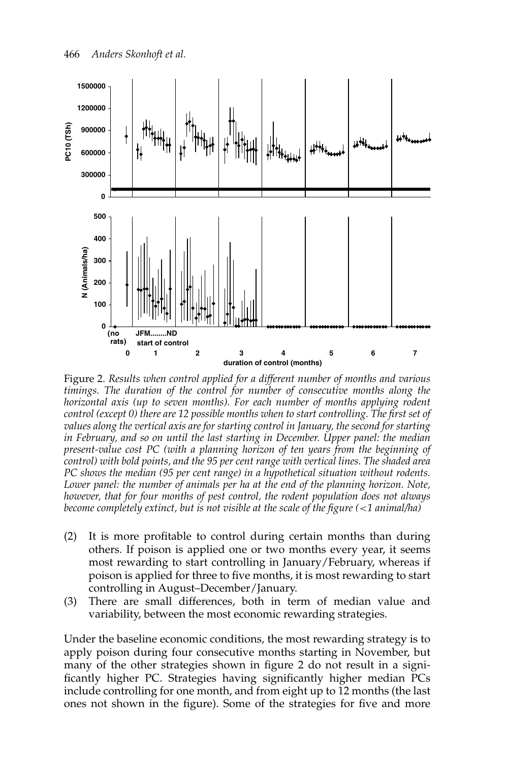

Figure 2. *Results when control applied for a different number of months and various timings. The duration of the control for number of consecutive months along the horizontal axis (up to seven months). For each number of months applying rodent control (except 0) there are 12 possible months when to start controlling. The first set of values along the vertical axis are for starting control in January, the second for starting in February, and so on until the last starting in December. Upper panel: the median present-value cost PC (with a planning horizon of ten years from the beginning of control) with bold points, and the 95 per cent range with vertical lines. The shaded area PC shows the median (95 per cent range) in a hypothetical situation without rodents. Lower panel: the number of animals per ha at the end of the planning horizon. Note, however, that for four months of pest control, the rodent population does not always become completely extinct, but is not visible at the scale of the figure (*<*1 animal/ha)*

- (2) It is more profitable to control during certain months than during others. If poison is applied one or two months every year, it seems most rewarding to start controlling in January/February, whereas if poison is applied for three to five months, it is most rewarding to start controlling in August–December/January.
- (3) There are small differences, both in term of median value and variability, between the most economic rewarding strategies.

Under the baseline economic conditions, the most rewarding strategy is to apply poison during four consecutive months starting in November, but many of the other strategies shown in figure 2 do not result in a significantly higher PC. Strategies having significantly higher median PCs include controlling for one month, and from eight up to 12 months (the last ones not shown in the figure). Some of the strategies for five and more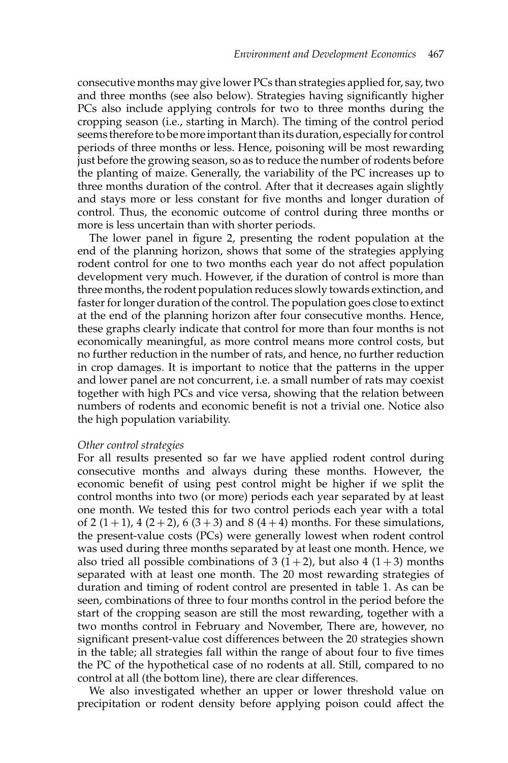consecutive months may give lower PCs than strategies applied for, say, two and three months (see also below). Strategies having significantly higher PCs also include applying controls for two to three months during the cropping season (i.e., starting in March). The timing of the control period seems therefore to be more important than its duration, especially for control periods of three months or less. Hence, poisoning will be most rewarding just before the growing season, so as to reduce the number of rodents before the planting of maize. Generally, the variability of the PC increases up to three months duration of the control. After that it decreases again slightly and stays more or less constant for five months and longer duration of control. Thus, the economic outcome of control during three months or more is less uncertain than with shorter periods.

The lower panel in figure 2, presenting the rodent population at the end of the planning horizon, shows that some of the strategies applying rodent control for one to two months each year do not affect population development very much. However, if the duration of control is more than three months, the rodent population reduces slowly towards extinction, and faster for longer duration of the control. The population goes close to extinct at the end of the planning horizon after four consecutive months. Hence, these graphs clearly indicate that control for more than four months is not economically meaningful, as more control means more control costs, but no further reduction in the number of rats, and hence, no further reduction in crop damages. It is important to notice that the patterns in the upper and lower panel are not concurrent, i.e. a small number of rats may coexist together with high PCs and vice versa, showing that the relation between numbers of rodents and economic benefit is not a trivial one. Notice also the high population variability.

#### *Other control strategies*

For all results presented so far we have applied rodent control during consecutive months and always during these months. However, the economic benefit of using pest control might be higher if we split the control months into two (or more) periods each year separated by at least one month. We tested this for two control periods each year with a total of 2  $(1 + 1)$ , 4  $(2 + 2)$ , 6  $(3 + 3)$  and 8  $(4 + 4)$  months. For these simulations, the present-value costs (PCs) were generally lowest when rodent control was used during three months separated by at least one month. Hence, we also tried all possible combinations of 3  $(1+2)$ , but also 4  $(1+3)$  months separated with at least one month. The 20 most rewarding strategies of duration and timing of rodent control are presented in table 1. As can be seen, combinations of three to four months control in the period before the start of the cropping season are still the most rewarding, together with a two months control in February and November, There are, however, no significant present-value cost differences between the 20 strategies shown in the table; all strategies fall within the range of about four to five times the PC of the hypothetical case of no rodents at all. Still, compared to no control at all (the bottom line), there are clear differences.

We also investigated whether an upper or lower threshold value on precipitation or rodent density before applying poison could affect the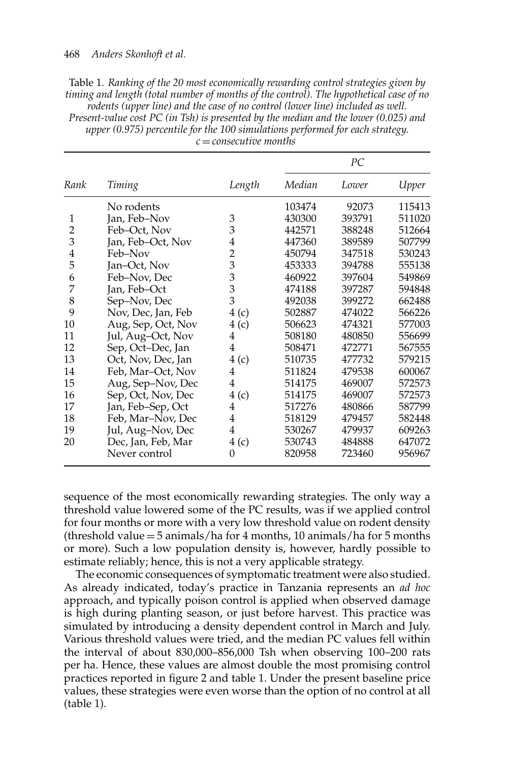Table 1. *Ranking of the 20 most economically rewarding control strategies given by timing and length (total number of months of the control). The hypothetical case of no rodents (upper line) and the case of no control (lower line) included as well. Present-value cost PC (in Tsh) is presented by the median and the lower (0.025) and upper (0.975) percentile for the 100 simulations performed for each strategy. c* = *consecutive months*

| Rank           | Timing             | Length         | PC     |        |        |  |
|----------------|--------------------|----------------|--------|--------|--------|--|
|                |                    |                | Median | Lower  | Upper  |  |
|                | No rodents         |                | 103474 | 92073  | 115413 |  |
| 1              | Jan, Feb-Nov       | 3              | 430300 | 393791 | 511020 |  |
| $\overline{2}$ | Feb-Oct, Nov       | 3              | 442571 | 388248 | 512664 |  |
| 3              | Jan, Feb-Oct, Nov  | 4              | 447360 | 389589 | 507799 |  |
| 4              | Feb-Nov            | $\overline{c}$ | 450794 | 347518 | 530243 |  |
| 5              | Jan-Oct, Nov       | 3              | 453333 | 394788 | 555138 |  |
| 6              | Feb-Nov, Dec       | 3              | 460922 | 397604 | 549869 |  |
| 7              | Jan, Feb-Oct       | 3              | 474188 | 397287 | 594848 |  |
| 8              | Sep-Nov, Dec       | 3              | 492038 | 399272 | 662488 |  |
| 9              | Nov, Dec, Jan, Feb | 4(c)           | 502887 | 474022 | 566226 |  |
| 10             | Aug, Sep, Oct, Nov | 4 (c)          | 506623 | 474321 | 577003 |  |
| 11             | Jul, Aug-Oct, Nov  | 4              | 508180 | 480850 | 556699 |  |
| 12             | Sep, Oct-Dec, Jan  | 4              | 508471 | 472771 | 567555 |  |
| 13             | Oct, Nov, Dec, Jan | 4 (c)          | 510735 | 477732 | 579215 |  |
| 14             | Feb, Mar-Oct, Nov  | 4              | 511824 | 479538 | 600067 |  |
| 15             | Aug, Sep-Nov, Dec  | 4              | 514175 | 469007 | 572573 |  |
| 16             | Sep, Oct, Nov, Dec | 4(c)           | 514175 | 469007 | 572573 |  |
| 17             | Jan, Feb-Sep, Oct  | 4              | 517276 | 480866 | 587799 |  |
| 18             | Feb, Mar-Nov, Dec  | 4              | 518129 | 479457 | 582448 |  |
| 19             | Jul, Aug-Nov, Dec  | 4              | 530267 | 479937 | 609263 |  |
| 20             | Dec, Jan, Feb, Mar | 4(c)           | 530743 | 484888 | 647072 |  |
|                | Never control      | 0              | 820958 | 723460 | 956967 |  |

sequence of the most economically rewarding strategies. The only way a threshold value lowered some of the PC results, was if we applied control for four months or more with a very low threshold value on rodent density (threshold value = 5 animals/ha for 4 months, 10 animals/ha for 5 months or more). Such a low population density is, however, hardly possible to estimate reliably; hence, this is not a very applicable strategy.

The economic consequences of symptomatic treatment were also studied. As already indicated, today's practice in Tanzania represents an *ad hoc* approach, and typically poison control is applied when observed damage is high during planting season, or just before harvest. This practice was simulated by introducing a density dependent control in March and July. Various threshold values were tried, and the median PC values fell within the interval of about 830,000–856,000 Tsh when observing 100–200 rats per ha. Hence, these values are almost double the most promising control practices reported in figure 2 and table 1. Under the present baseline price values, these strategies were even worse than the option of no control at all (table 1).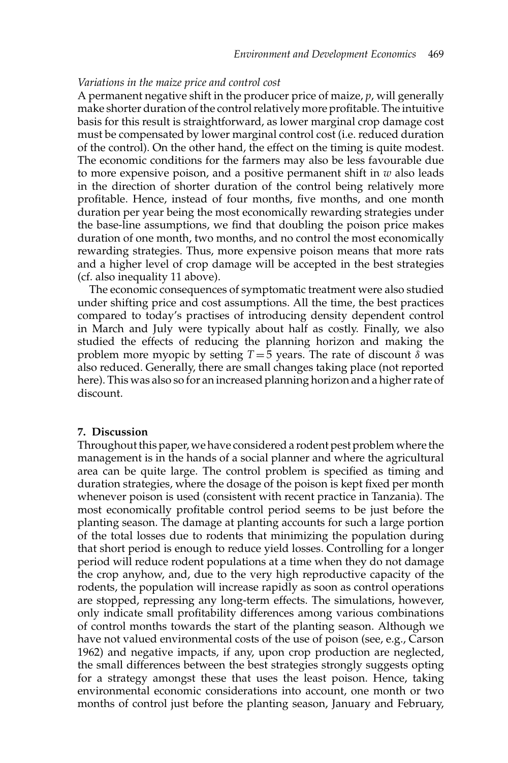#### *Variations in the maize price and control cost*

A permanent negative shift in the producer price of maize, *p*, will generally make shorter duration of the control relatively more profitable. The intuitive basis for this result is straightforward, as lower marginal crop damage cost must be compensated by lower marginal control cost (i.e. reduced duration of the control). On the other hand, the effect on the timing is quite modest. The economic conditions for the farmers may also be less favourable due to more expensive poison, and a positive permanent shift in *w* also leads in the direction of shorter duration of the control being relatively more profitable. Hence, instead of four months, five months, and one month duration per year being the most economically rewarding strategies under the base-line assumptions, we find that doubling the poison price makes duration of one month, two months, and no control the most economically rewarding strategies. Thus, more expensive poison means that more rats and a higher level of crop damage will be accepted in the best strategies (cf. also inequality 11 above).

The economic consequences of symptomatic treatment were also studied under shifting price and cost assumptions. All the time, the best practices compared to today's practises of introducing density dependent control in March and July were typically about half as costly. Finally, we also studied the effects of reducing the planning horizon and making the problem more myopic by setting  $T = 5$  years. The rate of discount  $\delta$  was also reduced. Generally, there are small changes taking place (not reported here). This was also so for an increased planning horizon and a higher rate of discount.

#### **7. Discussion**

Throughout this paper, we have considered a rodent pest problem where the management is in the hands of a social planner and where the agricultural area can be quite large. The control problem is specified as timing and duration strategies, where the dosage of the poison is kept fixed per month whenever poison is used (consistent with recent practice in Tanzania). The most economically profitable control period seems to be just before the planting season. The damage at planting accounts for such a large portion of the total losses due to rodents that minimizing the population during that short period is enough to reduce yield losses. Controlling for a longer period will reduce rodent populations at a time when they do not damage the crop anyhow, and, due to the very high reproductive capacity of the rodents, the population will increase rapidly as soon as control operations are stopped, repressing any long-term effects. The simulations, however, only indicate small profitability differences among various combinations of control months towards the start of the planting season. Although we have not valued environmental costs of the use of poison (see, e.g., Carson 1962) and negative impacts, if any, upon crop production are neglected, the small differences between the best strategies strongly suggests opting for a strategy amongst these that uses the least poison. Hence, taking environmental economic considerations into account, one month or two months of control just before the planting season, January and February,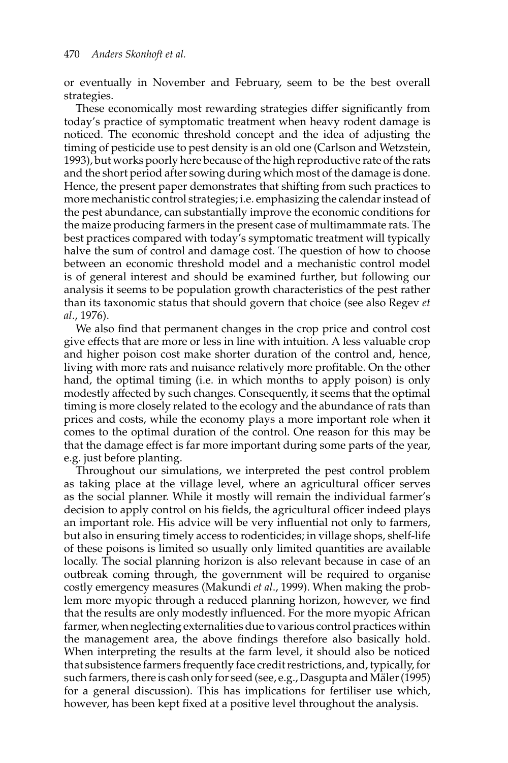or eventually in November and February, seem to be the best overall strategies.

These economically most rewarding strategies differ significantly from today's practice of symptomatic treatment when heavy rodent damage is noticed. The economic threshold concept and the idea of adjusting the timing of pesticide use to pest density is an old one (Carlson and Wetzstein, 1993), but works poorly here because of the high reproductive rate of the rats and the short period after sowing during which most of the damage is done. Hence, the present paper demonstrates that shifting from such practices to more mechanistic control strategies; i.e. emphasizing the calendar instead of the pest abundance, can substantially improve the economic conditions for the maize producing farmers in the present case of multimammate rats. The best practices compared with today's symptomatic treatment will typically halve the sum of control and damage cost. The question of how to choose between an economic threshold model and a mechanistic control model is of general interest and should be examined further, but following our analysis it seems to be population growth characteristics of the pest rather than its taxonomic status that should govern that choice (see also Regev *et al*., 1976).

We also find that permanent changes in the crop price and control cost give effects that are more or less in line with intuition. A less valuable crop and higher poison cost make shorter duration of the control and, hence, living with more rats and nuisance relatively more profitable. On the other hand, the optimal timing (i.e. in which months to apply poison) is only modestly affected by such changes. Consequently, it seems that the optimal timing is more closely related to the ecology and the abundance of rats than prices and costs, while the economy plays a more important role when it comes to the optimal duration of the control. One reason for this may be that the damage effect is far more important during some parts of the year, e.g. just before planting.

Throughout our simulations, we interpreted the pest control problem as taking place at the village level, where an agricultural officer serves as the social planner. While it mostly will remain the individual farmer's decision to apply control on his fields, the agricultural officer indeed plays an important role. His advice will be very influential not only to farmers, but also in ensuring timely access to rodenticides; in village shops, shelf-life of these poisons is limited so usually only limited quantities are available locally. The social planning horizon is also relevant because in case of an outbreak coming through, the government will be required to organise costly emergency measures (Makundi *et al*., 1999). When making the problem more myopic through a reduced planning horizon, however, we find that the results are only modestly influenced. For the more myopic African farmer, when neglecting externalities due to various control practices within the management area, the above findings therefore also basically hold. When interpreting the results at the farm level, it should also be noticed that subsistence farmers frequently face credit restrictions, and, typically, for such farmers, there is cash only for seed (see, e.g., Dasgupta and Mäler (1995) for a general discussion). This has implications for fertiliser use which, however, has been kept fixed at a positive level throughout the analysis.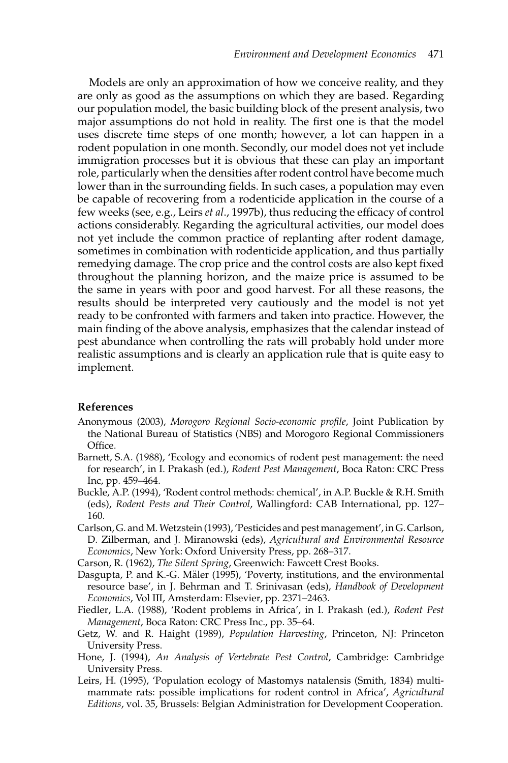Models are only an approximation of how we conceive reality, and they are only as good as the assumptions on which they are based. Regarding our population model, the basic building block of the present analysis, two major assumptions do not hold in reality. The first one is that the model uses discrete time steps of one month; however, a lot can happen in a rodent population in one month. Secondly, our model does not yet include immigration processes but it is obvious that these can play an important role, particularly when the densities after rodent control have become much lower than in the surrounding fields. In such cases, a population may even be capable of recovering from a rodenticide application in the course of a few weeks (see, e.g., Leirs *et al*., 1997b), thus reducing the efficacy of control actions considerably. Regarding the agricultural activities, our model does not yet include the common practice of replanting after rodent damage, sometimes in combination with rodenticide application, and thus partially remedying damage. The crop price and the control costs are also kept fixed throughout the planning horizon, and the maize price is assumed to be the same in years with poor and good harvest. For all these reasons, the results should be interpreted very cautiously and the model is not yet ready to be confronted with farmers and taken into practice. However, the main finding of the above analysis, emphasizes that the calendar instead of pest abundance when controlling the rats will probably hold under more realistic assumptions and is clearly an application rule that is quite easy to implement.

#### **References**

- Anonymous (2003), *Morogoro Regional Socio-economic profile*, Joint Publication by the National Bureau of Statistics (NBS) and Morogoro Regional Commissioners Office.
- Barnett, S.A. (1988), 'Ecology and economics of rodent pest management: the need for research', in I. Prakash (ed.), *Rodent Pest Management*, Boca Raton: CRC Press Inc, pp. 459–464.
- Buckle, A.P. (1994), 'Rodent control methods: chemical', in A.P. Buckle & R.H. Smith (eds), *Rodent Pests and Their Control*, Wallingford: CAB International, pp. 127– 160.
- Carlson, G. andM.Wetzstein (1993), 'Pesticides and pest management', in G. Carlson, D. Zilberman, and J. Miranowski (eds), *Agricultural and Environmental Resource Economics*, New York: Oxford University Press, pp. 268–317.
- Carson, R. (1962), *The Silent Spring*, Greenwich: Fawcett Crest Books.
- Dasgupta, P. and K.-G. Mäler (1995), 'Poverty, institutions, and the environmental resource base', in J. Behrman and T. Srinivasan (eds), *Handbook of Development Economics*, Vol III, Amsterdam: Elsevier, pp. 2371–2463.
- Fiedler, L.A. (1988), 'Rodent problems in Africa', in I. Prakash (ed.), *Rodent Pest Management*, Boca Raton: CRC Press Inc., pp. 35–64.
- Getz, W. and R. Haight (1989), *Population Harvesting*, Princeton, NJ: Princeton University Press.
- Hone, J. (1994), *An Analysis of Vertebrate Pest Control*, Cambridge: Cambridge University Press.
- Leirs, H. (1995), 'Population ecology of Mastomys natalensis (Smith, 1834) multimammate rats: possible implications for rodent control in Africa', *Agricultural Editions*, vol. 35, Brussels: Belgian Administration for Development Cooperation.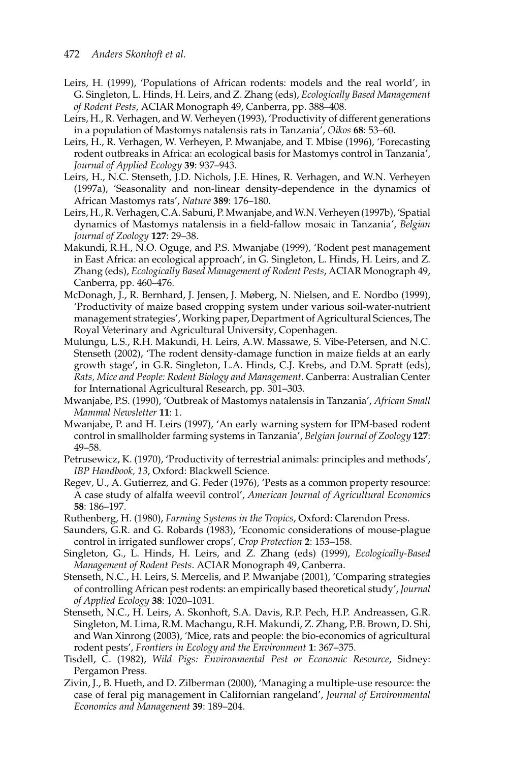#### 472 *Anders Skonhoft et al.*

- Leirs, H. (1999), 'Populations of African rodents: models and the real world', in G. Singleton, L. Hinds, H. Leirs, and Z. Zhang (eds), *Ecologically Based Management of Rodent Pests*, ACIAR Monograph 49, Canberra, pp. 388–408.
- Leirs, H., R. Verhagen, and W. Verheyen (1993), 'Productivity of different generations in a population of Mastomys natalensis rats in Tanzania', *Oikos* **68**: 53–60.
- Leirs, H., R. Verhagen, W. Verheyen, P. Mwanjabe, and T. Mbise (1996), 'Forecasting rodent outbreaks in Africa: an ecological basis for Mastomys control in Tanzania', *Journal of Applied Ecology* **39**: 937–943.
- Leirs, H., N.C. Stenseth, J.D. Nichols, J.E. Hines, R. Verhagen, and W.N. Verheyen (1997a), 'Seasonality and non-linear density-dependence in the dynamics of African Mastomys rats', *Nature* **389**: 176–180.
- Leirs, H., R. Verhagen, C.A. Sabuni, P. Mwanjabe, and W.N. Verheyen (1997b), 'Spatial dynamics of Mastomys natalensis in a field-fallow mosaic in Tanzania', *Belgian Journal of Zoology* **127**: 29–38.
- Makundi, R.H., N.O. Oguge, and P.S. Mwanjabe (1999), 'Rodent pest management in East Africa: an ecological approach', in G. Singleton, L. Hinds, H. Leirs, and Z. Zhang (eds), *Ecologically Based Management of Rodent Pests*, ACIAR Monograph 49, Canberra, pp. 460–476.
- McDonagh, J., R. Bernhard, J. Jensen, J. Møberg, N. Nielsen, and E. Nordbo (1999), 'Productivity of maize based cropping system under various soil-water-nutrient management strategies',Working paper, Department of Agricultural Sciences, The Royal Veterinary and Agricultural University, Copenhagen.
- Mulungu, L.S., R.H. Makundi, H. Leirs, A.W. Massawe, S. Vibe-Petersen, and N.C. Stenseth (2002), 'The rodent density-damage function in maize fields at an early growth stage', in G.R. Singleton, L.A. Hinds, C.J. Krebs, and D.M. Spratt (eds), *Rats, Mice and People: Rodent Biology and Management*. Canberra: Australian Center for International Agricultural Research, pp. 301–303.
- Mwanjabe, P.S. (1990), 'Outbreak of Mastomys natalensis in Tanzania', *African Small Mammal Newsletter* **11**: 1.
- Mwanjabe, P. and H. Leirs (1997), 'An early warning system for IPM-based rodent control in smallholder farming systems in Tanzania', *Belgian Journal of Zoology* **127**: 49–58.
- Petrusewicz, K. (1970), 'Productivity of terrestrial animals: principles and methods', *IBP Handbook, 13*, Oxford: Blackwell Science.
- Regev, U., A. Gutierrez, and G. Feder (1976), 'Pests as a common property resource: A case study of alfalfa weevil control', *American Journal of Agricultural Economics* **58**: 186–197.
- Ruthenberg, H. (1980), *Farming Systems in the Tropics*, Oxford: Clarendon Press.
- Saunders, G.R. and G. Robards (1983), 'Economic considerations of mouse-plague control in irrigated sunflower crops', *Crop Protection* **2**: 153–158.
- Singleton, G., L. Hinds, H. Leirs, and Z. Zhang (eds) (1999), *Ecologically-Based Management of Rodent Pests*. ACIAR Monograph 49, Canberra.
- Stenseth, N.C., H. Leirs, S. Mercelis, and P. Mwanjabe (2001), 'Comparing strategies of controlling African pest rodents: an empirically based theoretical study', *Journal of Applied Ecology* **38**: 1020–1031.
- Stenseth, N.C., H. Leirs, A. Skonhoft, S.A. Davis, R.P. Pech, H.P. Andreassen, G.R. Singleton, M. Lima, R.M. Machangu, R.H. Makundi, Z. Zhang, P.B. Brown, D. Shi, and Wan Xinrong (2003), 'Mice, rats and people: the bio-economics of agricultural rodent pests', *Frontiers in Ecology and the Environment* **1**: 367–375.
- Tisdell, C. (1982), *Wild Pigs: Environmental Pest or Economic Resource*, Sidney: Pergamon Press.
- Zivin, J., B. Hueth, and D. Zilberman (2000), 'Managing a multiple-use resource: the case of feral pig management in Californian rangeland', *Journal of Environmental Economics and Management* **39**: 189–204.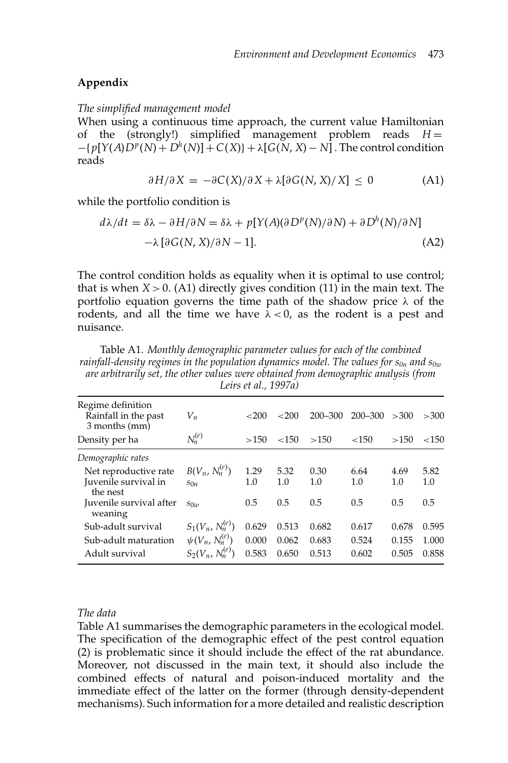## **Appendix**

*The simplified management model*

When using a continuous time approach, the current value Hamiltonian of the (strongly!) simplified management problem reads  $H =$  $-\{p[Y(A)D^p(N) + D^h(N)] + C(X)\} + \lambda[G(N, X) - N]$ . The control condition reads

$$
\partial H/\partial X = -\partial C(X)/\partial X + \lambda[\partial G(N, X)/X] \le 0 \tag{A1}
$$

while the portfolio condition is

$$
d\lambda/dt = \delta\lambda - \partial H/\partial N = \delta\lambda + p[Y(A)(\partial D^p(N)/\partial N) + \partial D^h(N)/\partial N]
$$
  
-  $\lambda [\partial G(N, X)/\partial N - 1].$  (A2)

The control condition holds as equality when it is optimal to use control; that is when  $X > 0$ . (A1) directly gives condition (11) in the main text. The portfolio equation governs the time path of the shadow price  $\lambda$  of the rodents, and all the time we have  $\lambda < 0$ , as the rodent is a pest and nuisance.

Table A1. *Monthly demographic parameter values for each of the combined rainfall-density regimes in the population dynamics model. The values for*  $s_{0n}$  *and*  $s_{0w}$ *are arbitrarily set, the other values were obtained from demographic analysis (from Leirs et al., 1997a)*

| Regime definition<br>Rainfall in the past<br>3 months (mm) | $V_n$                                           | ${<}200$       | <200           | $200 - 300$    | $200 - 300$    | >300           | >300           |
|------------------------------------------------------------|-------------------------------------------------|----------------|----------------|----------------|----------------|----------------|----------------|
| Density per ha                                             | $N_n^{(e)}$                                     | >150           | ${<}150$       | >150           | ${<}150$       | >150           | ${<}150$       |
| Demographic rates                                          |                                                 |                |                |                |                |                |                |
| Net reproductive rate<br>Juvenile survival in<br>the nest  | $B(V_n, N_n^{(e)})$<br>$S_{0n}$                 | 1.29<br>1.0    | 5.32<br>1.0    | 0.30<br>1.0    | 6.64<br>1.0    | 4.69<br>1.0    | 5.82<br>1.0    |
| Juvenile survival after<br>weaning                         | $S_{0w}$                                        | 0.5            | 0.5            | 0.5            | 0.5            | 0.5            | 0.5            |
| Sub-adult survival                                         | $S_1(V_n, N_n^{(e)})$                           | 0.629          | 0.513          | 0.682          | 0.617          | 0.678          | 0.595          |
| Sub-adult maturation<br>Adult survival                     | $\psi(V_n, N_n^{(e)})$<br>$S_2(V_n, N_n^{(e)})$ | 0.000<br>0.583 | 0.062<br>0.650 | 0.683<br>0.513 | 0.524<br>0.602 | 0.155<br>0.505 | 1.000<br>0.858 |
|                                                            |                                                 |                |                |                |                |                |                |

#### *The data*

Table A1 summarises the demographic parameters in the ecological model. The specification of the demographic effect of the pest control equation (2) is problematic since it should include the effect of the rat abundance. Moreover, not discussed in the main text, it should also include the combined effects of natural and poison-induced mortality and the immediate effect of the latter on the former (through density-dependent mechanisms). Such information for a more detailed and realistic description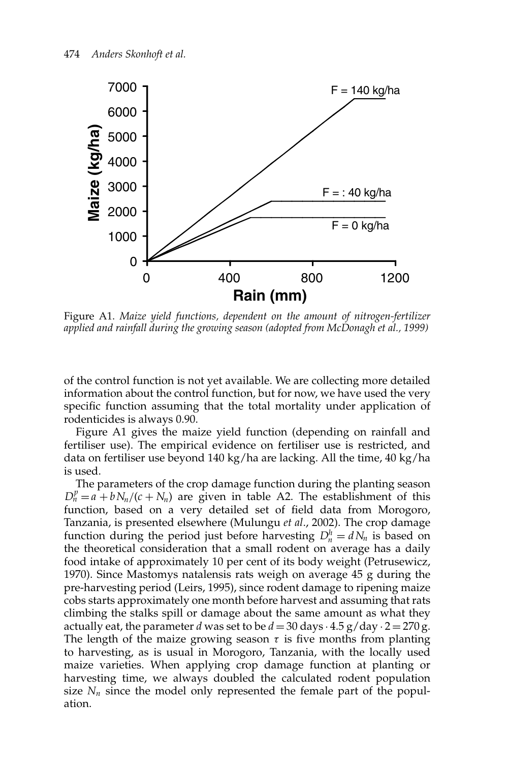

Figure A1. *Maize yield functions, dependent on the amount of nitrogen-fertilizer applied and rainfall during the growing season (adopted from McDonagh et al., 1999)*

of the control function is not yet available. We are collecting more detailed information about the control function, but for now, we have used the very specific function assuming that the total mortality under application of rodenticides is always 0.90.

Figure A1 gives the maize yield function (depending on rainfall and fertiliser use). The empirical evidence on fertiliser use is restricted, and data on fertiliser use beyond 140 kg/ha are lacking. All the time, 40 kg/ha is used.

The parameters of the crop damage function during the planting season  $D_n^p = a + bN_n/(c + N_n)$  are given in table A2. The establishment of this function, based on a very detailed set of field data from Morogoro, Tanzania, is presented elsewhere (Mulungu *et al*., 2002). The crop damage function during the period just before harvesting  $D_n^h = dN_n$  is based on the theoretical consideration that a small rodent on average has a daily food intake of approximately 10 per cent of its body weight (Petrusewicz, 1970). Since Mastomys natalensis rats weigh on average 45 g during the pre-harvesting period (Leirs, 1995), since rodent damage to ripening maize cobs starts approximately one month before harvest and assuming that rats climbing the stalks spill or damage about the same amount as what they actually eat, the parameter *d* was set to be  $d = 30 \text{ days} \cdot 4.5 \text{ g/day} \cdot 2 = 270 \text{ g}.$ The length of the maize growing season  $\tau$  is five months from planting to harvesting, as is usual in Morogoro, Tanzania, with the locally used maize varieties. When applying crop damage function at planting or harvesting time, we always doubled the calculated rodent population size  $N_n$  since the model only represented the female part of the population.